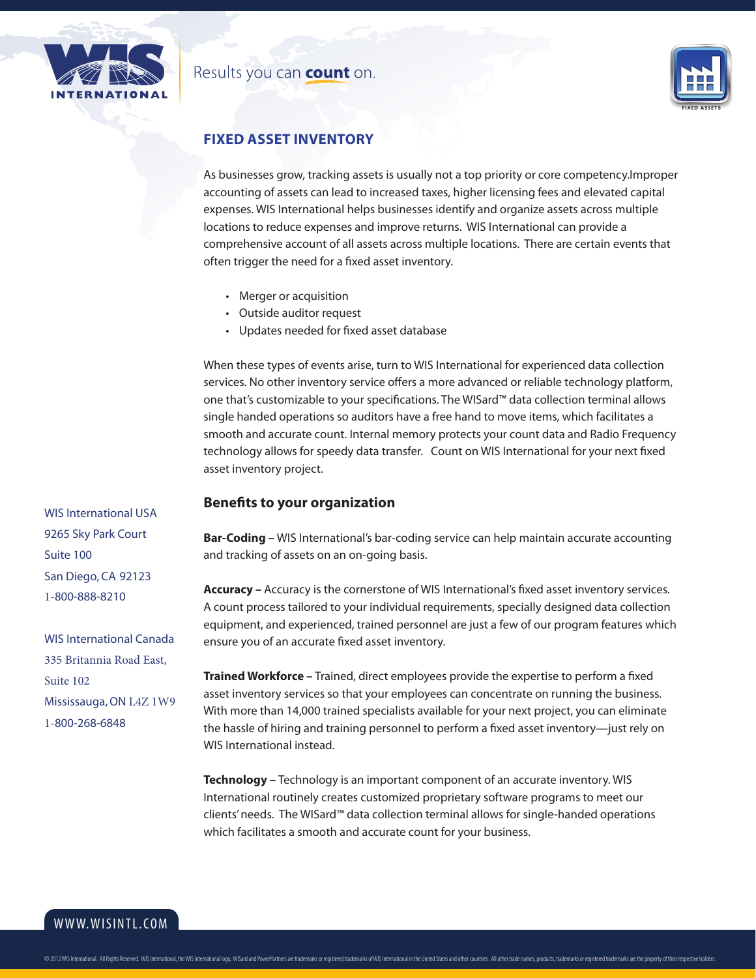

## Results you can count on.



## **Fixed Asset Inventory**

As businesses grow, tracking assets is usually not a top priority or core competency.Improper accounting of assets can lead to increased taxes, higher licensing fees and elevated capital expenses. WIS International helps businesses identify and organize assets across multiple locations to reduce expenses and improve returns. WIS International can provide a comprehensive account of all assets across multiple locations. There are certain events that often trigger the need for a fixed asset inventory.

- Merger or acquisition
- Outside auditor request
- Updates needed for fixed asset database

When these types of events arise, turn to WIS International for experienced data collection services. No other inventory service offers a more advanced or reliable technology platform, one that's customizable to your specifications. The WISard™ data collection terminal allows single handed operations so auditors have a free hand to move items, which facilitates a smooth and accurate count. Internal memory protects your count data and Radio Frequency technology allows for speedy data transfer. Count on WIS International for your next fixed asset inventory project.

### **Benefits to your organization**

**Bar-Coding –** WIS International's bar-coding service can help maintain accurate accounting and tracking of assets on an on-going basis.

**Accuracy –** Accuracy is the cornerstone of WIS International's fixed asset inventory services. A count process tailored to your individual requirements, specially designed data collection equipment, and experienced, trained personnel are just a few of our program features which ensure you of an accurate fixed asset inventory.

**Trained Workforce –** Trained, direct employees provide the expertise to perform a fixed asset inventory services so that your employees can concentrate on running the business. With more than 14,000 trained specialists available for your next project, you can eliminate the hassle of hiring and training personnel to perform a fixed asset inventory—just rely on WIS International instead.

**Technology –** Technology is an important component of an accurate inventory. WIS International routinely creates customized proprietary software programs to meet our clients' needs. The WISard™ data collection terminal allows for single-handed operations which facilitates a smooth and accurate count for your business.

WIS International USA 9265 Sky Park Court Suite 100 San Diego, CA 92123 1-800-888-8210

WIS International Canada 335 Britannia Road East, Suite 102 Mississauga, ON L4Z 1W9 1-800-268-6848

www.wisintl.com